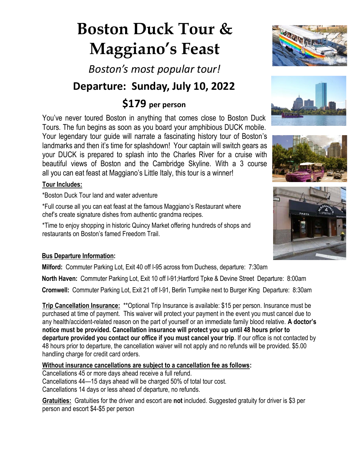# **Boston Duck Tour & Maggiano's Feast**

*Boston's most popular tour!*

## **Departure: Sunday, July 10, 2022**

## **\$179 per person**

You've never toured Boston in anything that comes close to Boston Duck Tours. The fun begins as soon as you board your amphibious DUCK mobile. Your legendary tour guide will narrate a fascinating history tour of Boston's landmarks and then it's time for splashdown! Your captain will switch gears as your DUCK is prepared to splash into the Charles River for a cruise with beautiful views of Boston and the Cambridge Skyline. With a 3 course all you can eat feast at Maggiano's Little Italy, this tour is a winner!

#### **Tour Includes:**

\*Boston Duck Tour land and water adventure

\*Full course all you can eat feast at the famous Maggiano's Restaurant where chef's create signature dishes from authentic grandma recipes.

\*Time to enjoy shopping in historic Quincy Market offering hundreds of shops and restaurants on Boston's famed Freedom Trail.

#### **Bus Departure Information:**

**Milford:** Commuter Parking Lot, Exit 40 off I-95 across from Duchess, departure: 7:30am

**North Haven:** Commuter Parking Lot, Exit 10 off I-91;Hartford Tpke & Devine Street Departure: 8:00am **Cromwell:** Commuter Parking Lot, Exit 21 off I-91, Berlin Turnpike next to Burger King Departure: 8:30am

**Trip Cancellation Insurance:** \*\*Optional Trip Insurance is available: \$15 per person. Insurance must be purchased at time of payment. This waiver will protect your payment in the event you must cancel due to any health/accident-related reason on the part of yourself or an immediate family blood relative. **A doctor's notice must be provided. Cancellation insurance will protect you up until 48 hours prior to departure provided you contact our office if you must cancel your trip**. If our office is not contacted by 48 hours prior to departure, the cancellation waiver will not apply and no refunds will be provided. \$5.00 handling charge for credit card orders.

#### **Without insurance cancellations are subject to a cancellation fee as follows:**

Cancellations 45 or more days ahead receive a full refund. Cancellations 44—15 days ahead will be charged 50% of total tour cost. Cancellations 14 days or less ahead of departure, no refunds.

**Gratuities:** Gratuities for the driver and escort are **not** included. Suggested gratuity for driver is \$3 per person and escort \$4-\$5 per person